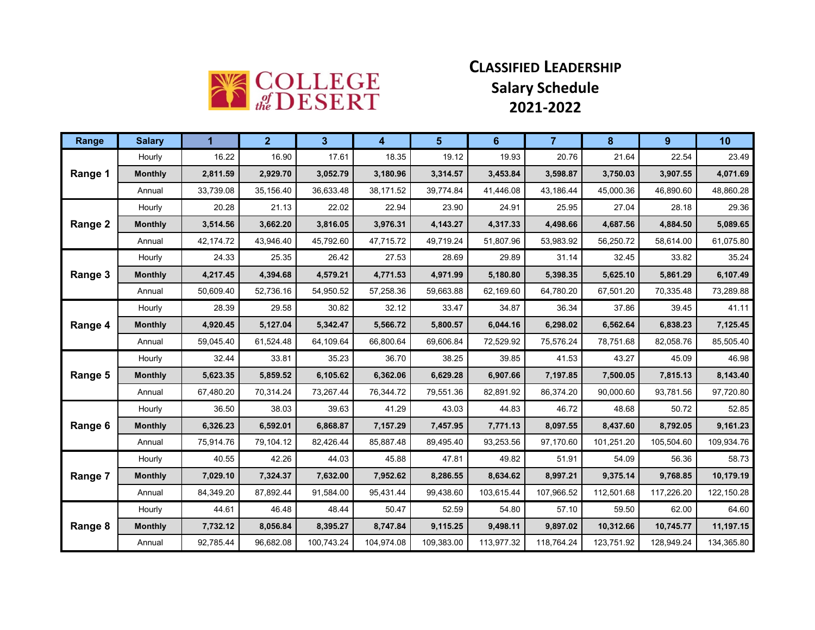

## **CLASSIFIED LEADERSHIP Salary Schedule 2021-2022**

| Range   | <b>Salary</b>  | 1         | $\overline{2}$ | 3          | 4          | 5          | 6          | $\overline{7}$ | 8          | 9          | 10         |
|---------|----------------|-----------|----------------|------------|------------|------------|------------|----------------|------------|------------|------------|
|         | Hourly         | 16.22     | 16.90          | 17.61      | 18.35      | 19.12      | 19.93      | 20.76          | 21.64      | 22.54      | 23.49      |
| Range 1 | <b>Monthly</b> | 2,811.59  | 2,929.70       | 3,052.79   | 3,180.96   | 3,314.57   | 3,453.84   | 3,598.87       | 3,750.03   | 3,907.55   | 4,071.69   |
|         | Annual         | 33,739.08 | 35,156.40      | 36.633.48  | 38,171.52  | 39.774.84  | 41.446.08  | 43.186.44      | 45.000.36  | 46.890.60  | 48,860.28  |
|         | Hourly         | 20.28     | 21.13          | 22.02      | 22.94      | 23.90      | 24.91      | 25.95          | 27.04      | 28.18      | 29.36      |
| Range 2 | <b>Monthly</b> | 3,514.56  | 3,662.20       | 3,816.05   | 3,976.31   | 4,143.27   | 4,317.33   | 4,498.66       | 4,687.56   | 4,884.50   | 5,089.65   |
|         | Annual         | 42,174.72 | 43,946.40      | 45,792.60  | 47,715.72  | 49.719.24  | 51,807.96  | 53.983.92      | 56,250.72  | 58,614.00  | 61,075.80  |
|         | Hourly         | 24.33     | 25.35          | 26.42      | 27.53      | 28.69      | 29.89      | 31.14          | 32.45      | 33.82      | 35.24      |
| Range 3 | <b>Monthly</b> | 4,217.45  | 4,394.68       | 4,579.21   | 4,771.53   | 4,971.99   | 5,180.80   | 5,398.35       | 5,625.10   | 5,861.29   | 6,107.49   |
|         | Annual         | 50,609.40 | 52,736.16      | 54,950.52  | 57,258.36  | 59,663.88  | 62,169.60  | 64,780.20      | 67,501.20  | 70,335.48  | 73,289.88  |
|         | Hourly         | 28.39     | 29.58          | 30.82      | 32.12      | 33.47      | 34.87      | 36.34          | 37.86      | 39.45      | 41.11      |
| Range 4 | <b>Monthly</b> | 4,920.45  | 5,127.04       | 5,342.47   | 5,566.72   | 5,800.57   | 6,044.16   | 6,298.02       | 6,562.64   | 6,838.23   | 7,125.45   |
|         | Annual         | 59,045.40 | 61,524.48      | 64,109.64  | 66,800.64  | 69,606.84  | 72,529.92  | 75,576.24      | 78,751.68  | 82,058.76  | 85,505.40  |
| Range 5 | Hourly         | 32.44     | 33.81          | 35.23      | 36.70      | 38.25      | 39.85      | 41.53          | 43.27      | 45.09      | 46.98      |
|         | <b>Monthly</b> | 5,623.35  | 5,859.52       | 6,105.62   | 6,362.06   | 6,629.28   | 6,907.66   | 7,197.85       | 7,500.05   | 7,815.13   | 8,143.40   |
|         | Annual         | 67,480.20 | 70,314.24      | 73,267.44  | 76,344.72  | 79,551.36  | 82,891.92  | 86,374.20      | 90,000.60  | 93,781.56  | 97,720.80  |
|         | Hourly         | 36.50     | 38.03          | 39.63      | 41.29      | 43.03      | 44.83      | 46.72          | 48.68      | 50.72      | 52.85      |
| Range 6 | <b>Monthly</b> | 6,326.23  | 6,592.01       | 6,868.87   | 7,157.29   | 7,457.95   | 7,771.13   | 8,097.55       | 8,437.60   | 8,792.05   | 9,161.23   |
|         | Annual         | 75,914.76 | 79,104.12      | 82,426.44  | 85,887.48  | 89,495.40  | 93,253.56  | 97,170.60      | 101,251.20 | 105,504.60 | 109,934.76 |
|         | Hourly         | 40.55     | 42.26          | 44.03      | 45.88      | 47.81      | 49.82      | 51.91          | 54.09      | 56.36      | 58.73      |
| Range 7 | <b>Monthly</b> | 7,029.10  | 7,324.37       | 7,632.00   | 7,952.62   | 8,286.55   | 8,634.62   | 8,997.21       | 9,375.14   | 9,768.85   | 10,179.19  |
|         | Annual         | 84,349.20 | 87,892.44      | 91,584.00  | 95,431.44  | 99,438.60  | 103,615.44 | 107,966.52     | 112,501.68 | 117,226.20 | 122,150.28 |
|         | Hourly         | 44.61     | 46.48          | 48.44      | 50.47      | 52.59      | 54.80      | 57.10          | 59.50      | 62.00      | 64.60      |
| Range 8 | <b>Monthly</b> | 7,732.12  | 8,056.84       | 8,395.27   | 8,747.84   | 9,115.25   | 9,498.11   | 9,897.02       | 10,312.66  | 10,745.77  | 11,197.15  |
|         | Annual         | 92,785.44 | 96,682.08      | 100,743.24 | 104,974.08 | 109,383.00 | 113,977.32 | 118,764.24     | 123,751.92 | 128,949.24 | 134,365.80 |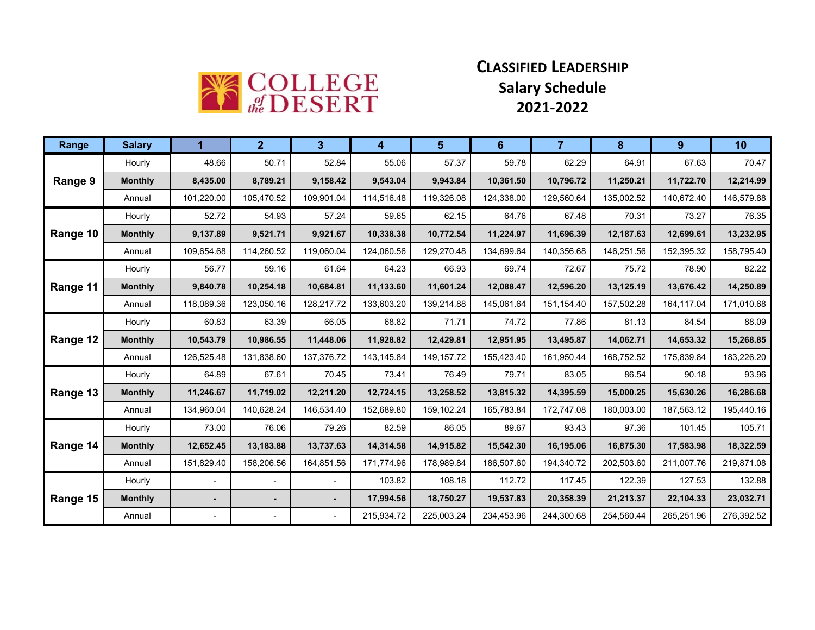

## **CLASSIFIED LEADERSHIP Salary Schedule 2021-2022**

| Range    | <b>Salary</b>  | 1              | 2 <sup>1</sup> | $\mathbf{3}$             | 4          | 5          | 6          | $\overline{7}$ | 8          | 9          | 10         |
|----------|----------------|----------------|----------------|--------------------------|------------|------------|------------|----------------|------------|------------|------------|
|          | Hourly         | 48.66          | 50.71          | 52.84                    | 55.06      | 57.37      | 59.78      | 62.29          | 64.91      | 67.63      | 70.47      |
| Range 9  | <b>Monthly</b> | 8,435.00       | 8,789.21       | 9,158.42                 | 9.543.04   | 9,943.84   | 10,361.50  | 10,796.72      | 11,250.21  | 11,722.70  | 12,214.99  |
|          | Annual         | 101,220.00     | 105,470.52     | 109,901.04               | 114,516.48 | 119,326.08 | 124,338.00 | 129,560.64     | 135,002.52 | 140,672.40 | 146,579.88 |
|          | Hourly         | 52.72          | 54.93          | 57.24                    | 59.65      | 62.15      | 64.76      | 67.48          | 70.31      | 73.27      | 76.35      |
| Range 10 | <b>Monthly</b> | 9,137.89       | 9,521.71       | 9,921.67                 | 10,338.38  | 10,772.54  | 11,224.97  | 11,696.39      | 12,187.63  | 12,699.61  | 13,232.95  |
|          | Annual         | 109,654.68     | 114,260.52     | 119,060.04               | 124,060.56 | 129,270.48 | 134,699.64 | 140,356.68     | 146,251.56 | 152,395.32 | 158,795.40 |
|          | Hourly         | 56.77          | 59.16          | 61.64                    | 64.23      | 66.93      | 69.74      | 72.67          | 75.72      | 78.90      | 82.22      |
| Range 11 | <b>Monthly</b> | 9,840.78       | 10,254.18      | 10,684.81                | 11,133.60  | 11,601.24  | 12,088.47  | 12,596.20      | 13,125.19  | 13,676.42  | 14,250.89  |
|          | Annual         | 118,089.36     | 123,050.16     | 128,217.72               | 133,603.20 | 139,214.88 | 145,061.64 | 151,154.40     | 157,502.28 | 164,117.04 | 171,010.68 |
| Range 12 | Hourly         | 60.83          | 63.39          | 66.05                    | 68.82      | 71.71      | 74.72      | 77.86          | 81.13      | 84.54      | 88.09      |
|          | <b>Monthly</b> | 10,543.79      | 10,986.55      | 11,448.06                | 11,928.82  | 12,429.81  | 12,951.95  | 13,495.87      | 14,062.71  | 14,653.32  | 15,268.85  |
|          | Annual         | 126,525.48     | 131,838.60     | 137,376.72               | 143,145.84 | 149,157.72 | 155,423.40 | 161,950.44     | 168,752.52 | 175,839.84 | 183,226.20 |
|          | Hourly         | 64.89          | 67.61          | 70.45                    | 73.41      | 76.49      | 79.71      | 83.05          | 86.54      | 90.18      | 93.96      |
| Range 13 | <b>Monthly</b> | 11,246.67      | 11,719.02      | 12,211.20                | 12,724.15  | 13,258.52  | 13,815.32  | 14,395.59      | 15,000.25  | 15,630.26  | 16,286.68  |
|          | Annual         | 134,960.04     | 140,628.24     | 146,534.40               | 152,689.80 | 159,102.24 | 165,783.84 | 172,747.08     | 180,003.00 | 187,563.12 | 195,440.16 |
|          | Hourly         | 73.00          | 76.06          | 79.26                    | 82.59      | 86.05      | 89.67      | 93.43          | 97.36      | 101.45     | 105.71     |
| Range 14 | <b>Monthly</b> | 12,652.45      | 13,183.88      | 13,737.63                | 14,314.58  | 14,915.82  | 15,542.30  | 16,195.06      | 16,875.30  | 17,583.98  | 18,322.59  |
|          | Annual         | 151,829.40     | 158,206.56     | 164,851.56               | 171,774.96 | 178,989.84 | 186,507.60 | 194,340.72     | 202,503.60 | 211,007.76 | 219,871.08 |
|          | Hourly         |                |                | $\overline{\phantom{a}}$ | 103.82     | 108.18     | 112.72     | 117.45         | 122.39     | 127.53     | 132.88     |
| Range 15 | <b>Monthly</b> | $\blacksquare$ | $\sim$         | $\sim$                   | 17,994.56  | 18,750.27  | 19,537.83  | 20,358.39      | 21,213.37  | 22,104.33  | 23,032.71  |
|          | Annual         |                |                | $\overline{\phantom{a}}$ | 215,934.72 | 225,003.24 | 234,453.96 | 244,300.68     | 254,560.44 | 265,251.96 | 276,392.52 |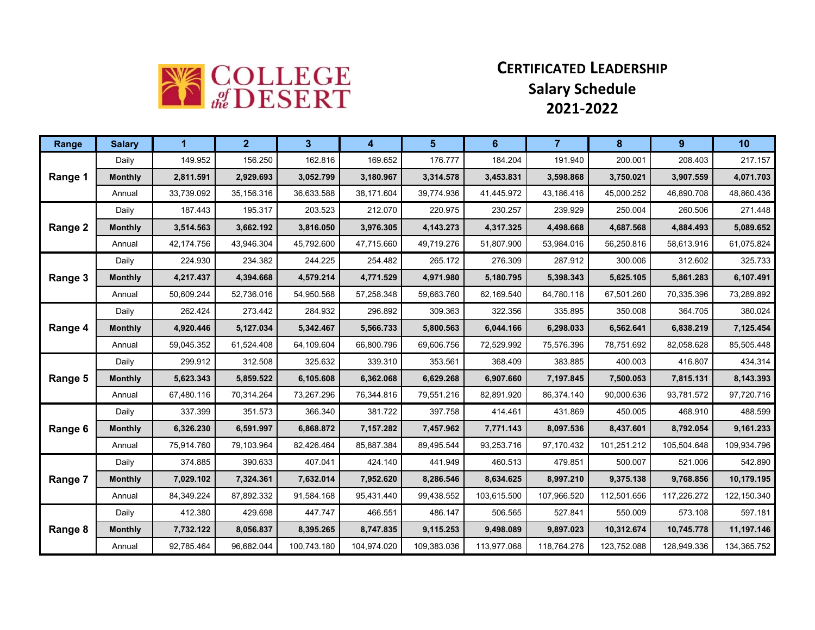

## **CERTIFICATED LEADERSHIP Salary Schedule 2021-2022**

| Range   | <b>Salary</b>  | 1          | 2 <sup>1</sup> | 3           | $\blacktriangle$ | 5 <sup>5</sup> | 6           | $\overline{7}$ | 8           | 9           | 10          |
|---------|----------------|------------|----------------|-------------|------------------|----------------|-------------|----------------|-------------|-------------|-------------|
|         | Daily          | 149.952    | 156.250        | 162.816     | 169.652          | 176.777        | 184.204     | 191.940        | 200.001     | 208.403     | 217.157     |
| Range 1 | <b>Monthly</b> | 2,811.591  | 2,929.693      | 3,052.799   | 3,180.967        | 3,314.578      | 3,453.831   | 3,598.868      | 3,750.021   | 3,907.559   | 4,071.703   |
|         | Annual         | 33,739.092 | 35.156.316     | 36.633.588  | 38.171.604       | 39.774.936     | 41.445.972  | 43,186.416     | 45.000.252  | 46.890.708  | 48,860.436  |
|         | Daily          | 187.443    | 195.317        | 203.523     | 212.070          | 220.975        | 230.257     | 239.929        | 250.004     | 260.506     | 271.448     |
| Range 2 | <b>Monthly</b> | 3,514.563  | 3,662.192      | 3,816.050   | 3,976.305        | 4,143.273      | 4,317.325   | 4,498.668      | 4,687.568   | 4,884.493   | 5,089.652   |
|         | Annual         | 42,174.756 | 43,946.304     | 45,792.600  | 47,715.660       | 49,719.276     | 51,807.900  | 53,984.016     | 56,250.816  | 58,613.916  | 61,075.824  |
|         | Daily          | 224.930    | 234.382        | 244.225     | 254.482          | 265.172        | 276.309     | 287.912        | 300.006     | 312.602     | 325.733     |
| Range 3 | <b>Monthly</b> | 4,217.437  | 4,394.668      | 4,579.214   | 4,771.529        | 4,971.980      | 5,180.795   | 5,398.343      | 5,625.105   | 5,861.283   | 6,107.491   |
|         | Annual         | 50,609.244 | 52,736.016     | 54,950.568  | 57,258.348       | 59,663.760     | 62,169.540  | 64,780.116     | 67,501.260  | 70,335.396  | 73,289.892  |
|         | Daily          | 262.424    | 273.442        | 284.932     | 296.892          | 309.363        | 322.356     | 335.895        | 350.008     | 364.705     | 380.024     |
| Range 4 | <b>Monthly</b> | 4,920.446  | 5,127.034      | 5,342.467   | 5,566.733        | 5,800.563      | 6,044.166   | 6,298.033      | 6,562.641   | 6,838.219   | 7,125.454   |
|         | Annual         | 59,045.352 | 61,524.408     | 64,109.604  | 66,800.796       | 69,606.756     | 72,529.992  | 75,576.396     | 78,751.692  | 82,058.628  | 85,505.448  |
|         | Daily          | 299.912    | 312.508        | 325.632     | 339.310          | 353.561        | 368.409     | 383.885        | 400.003     | 416.807     | 434.314     |
| Range 5 | <b>Monthly</b> | 5,623.343  | 5,859.522      | 6,105.608   | 6,362.068        | 6,629.268      | 6,907.660   | 7,197.845      | 7,500.053   | 7,815.131   | 8,143.393   |
|         | Annual         | 67,480.116 | 70,314.264     | 73,267.296  | 76,344.816       | 79,551.216     | 82,891.920  | 86,374.140     | 90,000.636  | 93,781.572  | 97,720.716  |
|         | Daily          | 337.399    | 351.573        | 366.340     | 381.722          | 397.758        | 414.461     | 431.869        | 450.005     | 468.910     | 488.599     |
| Range 6 | <b>Monthly</b> | 6,326.230  | 6,591.997      | 6,868.872   | 7,157.282        | 7,457.962      | 7,771.143   | 8,097.536      | 8,437.601   | 8,792.054   | 9,161.233   |
|         | Annual         | 75,914.760 | 79,103.964     | 82,426.464  | 85,887.384       | 89,495.544     | 93,253.716  | 97,170.432     | 101,251.212 | 105,504.648 | 109,934.796 |
|         | Daily          | 374.885    | 390.633        | 407.041     | 424.140          | 441.949        | 460.513     | 479.851        | 500.007     | 521.006     | 542.890     |
| Range 7 | <b>Monthly</b> | 7,029.102  | 7,324.361      | 7,632.014   | 7,952.620        | 8,286.546      | 8,634.625   | 8,997.210      | 9,375.138   | 9,768.856   | 10,179.195  |
|         | Annual         | 84,349.224 | 87,892.332     | 91,584.168  | 95,431.440       | 99,438.552     | 103,615.500 | 107,966.520    | 112,501.656 | 117,226.272 | 122,150.340 |
|         | Daily          | 412.380    | 429.698        | 447.747     | 466.551          | 486.147        | 506.565     | 527.841        | 550.009     | 573.108     | 597.181     |
| Range 8 | <b>Monthly</b> | 7,732.122  | 8,056.837      | 8,395.265   | 8,747.835        | 9,115.253      | 9,498.089   | 9,897.023      | 10,312.674  | 10,745.778  | 11,197.146  |
|         | Annual         | 92,785.464 | 96,682.044     | 100,743.180 | 104,974.020      | 109,383.036    | 113,977.068 | 118,764.276    | 123,752.088 | 128,949.336 | 134,365.752 |